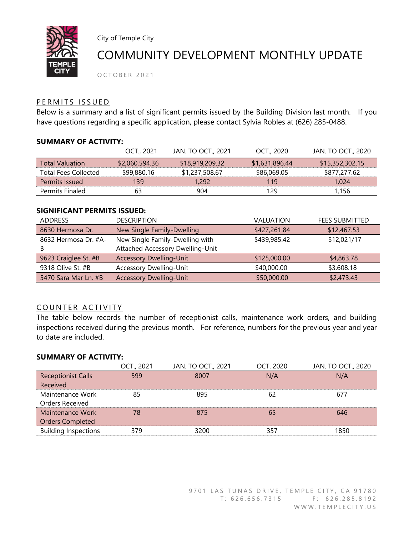

City of Temple City

# COMMUNITY DEVELOPMENT MONTHLY UPDATE

OCTOBER 2021

## PERMITS ISSUED

Below is a summary and a list of significant permits issued by the Building Division last month. If you have questions regarding a specific application, please contact Sylvia Robles at (626) 285-0488.

### SUMMARY OF ACTIVITY:

|                             | OCT., 2021     | JAN. TO OCT., 2021 | OCT., 2020     | JAN. TO OCT., 2020 |
|-----------------------------|----------------|--------------------|----------------|--------------------|
| <b>Total Valuation</b>      | \$2,060,594.36 | \$18,919,209.32    | \$1,631,896.44 | \$15,352,302.15    |
| <b>Total Fees Collected</b> | \$99,880.16    | \$1,237,508.67     | \$86,069.05    | \$877,277.62       |
| Permits Issued              | 139            | 1.292              | 119            | 1.024              |
| Permits Finaled             | 63             | 904                | 129            | 1.156              |

### SIGNIFICANT PERMITS ISSUED:

| <b>ADDRESS</b>       | <b>DESCRIPTION</b>               | VALUATION    | <b>FEES SUBMITTED</b> |
|----------------------|----------------------------------|--------------|-----------------------|
| 8630 Hermosa Dr.     | New Single Family-Dwelling       | \$427,261.84 | \$12,467.53           |
| 8632 Hermosa Dr. #A- | New Single Family-Dwelling with  | \$439,985.42 | \$12,021/17           |
| B                    | Attached Accessory Dwelling-Unit |              |                       |
| 9623 Craiglee St. #B | <b>Accessory Dwelling-Unit</b>   | \$125,000.00 | \$4,863.78            |
| 9318 Olive St. #B    | <b>Accessory Dwelling-Unit</b>   | \$40,000.00  | \$3,608.18            |
| 5470 Sara Mar Ln. #B | <b>Accessory Dwelling-Unit</b>   | \$50,000.00  | \$2,473.43            |

## COUNTER ACTIVITY

The table below records the number of receptionist calls, maintenance work orders, and building inspections received during the previous month. For reference, numbers for the previous year and year to date are included.

#### SUMMARY OF ACTIVITY:

|                             | OCT., 2021 | JAN. TO OCT., 2021 | OCT. 2020 | JAN. TO OCT., 2020 |
|-----------------------------|------------|--------------------|-----------|--------------------|
| <b>Receptionist Calls</b>   | 599        | 8007               | N/A       | N/A                |
| Received                    |            |                    |           |                    |
| Maintenance Work            | 85         | 895                | 62        | 677                |
| Orders Received             |            |                    |           |                    |
| Maintenance Work            | 78         | 875                | 65        | 646                |
| <b>Orders Completed</b>     |            |                    |           |                    |
| <b>Building Inspections</b> | 379        | 3200               | 357       | 1850               |